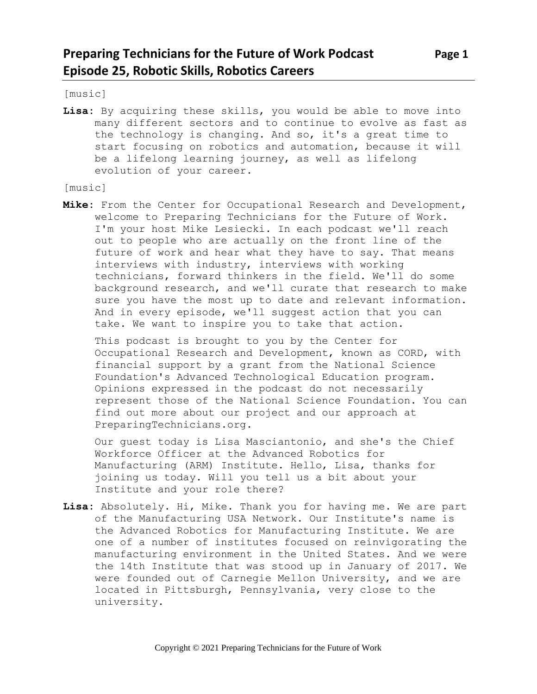[music]

**Lisa:** By acquiring these skills, you would be able to move into many different sectors and to continue to evolve as fast as the technology is changing. And so, it's a great time to start focusing on robotics and automation, because it will be a lifelong learning journey, as well as lifelong evolution of your career.

[music]

**Mike:** From the Center for Occupational Research and Development, welcome to Preparing Technicians for the Future of Work. I'm your host Mike Lesiecki. In each podcast we'll reach out to people who are actually on the front line of the future of work and hear what they have to say. That means interviews with industry, interviews with working technicians, forward thinkers in the field. We'll do some background research, and we'll curate that research to make sure you have the most up to date and relevant information. And in every episode, we'll suggest action that you can take. We want to inspire you to take that action.

This podcast is brought to you by the Center for Occupational Research and Development, known as CORD, with financial support by a grant from the National Science Foundation's Advanced Technological Education program. Opinions expressed in the podcast do not necessarily represent those of the National Science Foundation. You can find out more about our project and our approach at PreparingTechnicians.org.

Our guest today is Lisa Masciantonio, and she's the Chief Workforce Officer at the Advanced Robotics for Manufacturing (ARM) Institute. Hello, Lisa, thanks for joining us today. Will you tell us a bit about your Institute and your role there?

**Lisa:** Absolutely. Hi, Mike. Thank you for having me. We are part of the Manufacturing USA Network. Our Institute's name is the Advanced Robotics for Manufacturing Institute. We are one of a number of institutes focused on reinvigorating the manufacturing environment in the United States. And we were the 14th Institute that was stood up in January of 2017. We were founded out of Carnegie Mellon University, and we are located in Pittsburgh, Pennsylvania, very close to the university.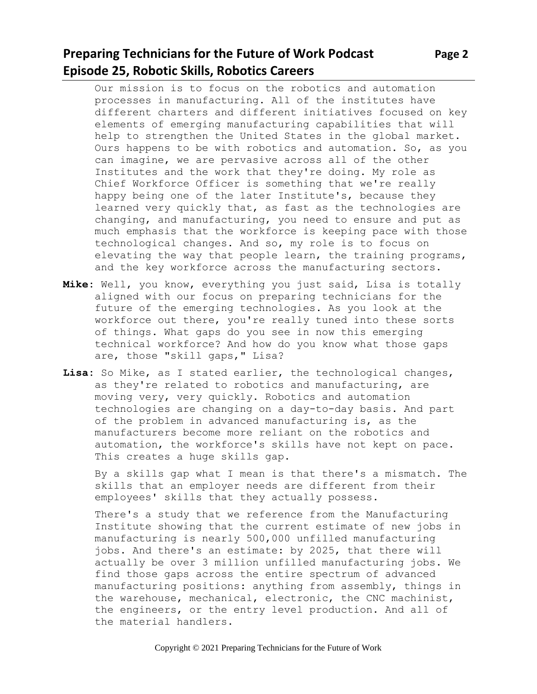### **Preparing Technicians for the Future of Work Podcast Page 2 Episode 25, Robotic Skills, Robotics Careers**

Our mission is to focus on the robotics and automation processes in manufacturing. All of the institutes have different charters and different initiatives focused on key elements of emerging manufacturing capabilities that will help to strengthen the United States in the global market. Ours happens to be with robotics and automation. So, as you can imagine, we are pervasive across all of the other Institutes and the work that they're doing. My role as Chief Workforce Officer is something that we're really happy being one of the later Institute's, because they learned very quickly that, as fast as the technologies are changing, and manufacturing, you need to ensure and put as much emphasis that the workforce is keeping pace with those technological changes. And so, my role is to focus on elevating the way that people learn, the training programs, and the key workforce across the manufacturing sectors.

- **Mike:** Well, you know, everything you just said, Lisa is totally aligned with our focus on preparing technicians for the future of the emerging technologies. As you look at the workforce out there, you're really tuned into these sorts of things. What gaps do you see in now this emerging technical workforce? And how do you know what those gaps are, those "skill gaps," Lisa?
- **Lisa:** So Mike, as I stated earlier, the technological changes, as they're related to robotics and manufacturing, are moving very, very quickly. Robotics and automation technologies are changing on a day-to-day basis. And part of the problem in advanced manufacturing is, as the manufacturers become more reliant on the robotics and automation, the workforce's skills have not kept on pace. This creates a huge skills gap.

By a skills gap what I mean is that there's a mismatch. The skills that an employer needs are different from their employees' skills that they actually possess.

There's a study that we reference from the Manufacturing Institute showing that the current estimate of new jobs in manufacturing is nearly 500,000 unfilled manufacturing jobs. And there's an estimate: by 2025, that there will actually be over 3 million unfilled manufacturing jobs. We find those gaps across the entire spectrum of advanced manufacturing positions: anything from assembly, things in the warehouse, mechanical, electronic, the CNC machinist, the engineers, or the entry level production. And all of the material handlers.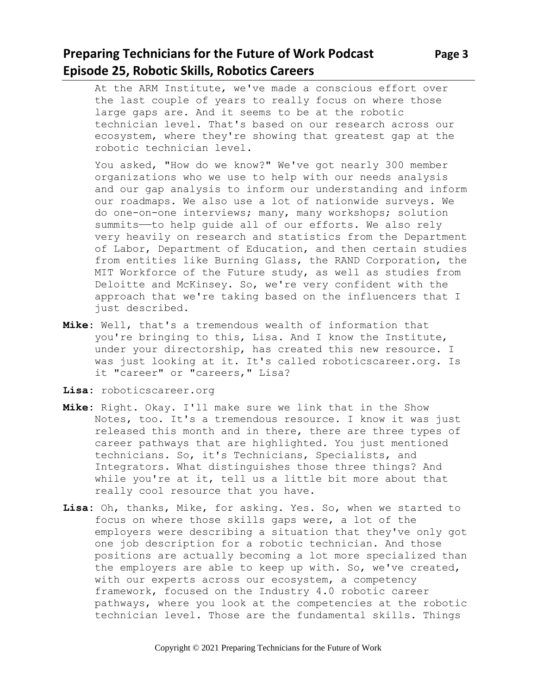# **Preparing Technicians for the Future of Work Podcast** Page 3 **Episode 25, Robotic Skills, Robotics Careers**

At the ARM Institute, we've made a conscious effort over the last couple of years to really focus on where those large gaps are. And it seems to be at the robotic technician level. That's based on our research across our ecosystem, where they're showing that greatest gap at the robotic technician level.

You asked, "How do we know?" We've got nearly 300 member organizations who we use to help with our needs analysis and our gap analysis to inform our understanding and inform our roadmaps. We also use a lot of nationwide surveys. We do one-on-one interviews; many, many workshops; solution summits——to help guide all of our efforts. We also rely very heavily on research and statistics from the Department of Labor, Department of Education, and then certain studies from entities like Burning Glass, the RAND Corporation, the MIT Workforce of the Future study, as well as studies from Deloitte and McKinsey. So, we're very confident with the approach that we're taking based on the influencers that I just described.

- **Mike:** Well, that's a tremendous wealth of information that you're bringing to this, Lisa. And I know the Institute, under your directorship, has created this new resource. I was just looking at it. It's called roboticscareer.org. Is it "career" or "careers," Lisa?
- **Lisa:** roboticscareer.org
- **Mike:** Right. Okay. I'll make sure we link that in the Show Notes, too. It's a tremendous resource. I know it was just released this month and in there, there are three types of career pathways that are highlighted. You just mentioned technicians. So, it's Technicians, Specialists, and Integrators. What distinguishes those three things? And while you're at it, tell us a little bit more about that really cool resource that you have.
- **Lisa:** Oh, thanks, Mike, for asking. Yes. So, when we started to focus on where those skills gaps were, a lot of the employers were describing a situation that they've only got one job description for a robotic technician. And those positions are actually becoming a lot more specialized than the employers are able to keep up with. So, we've created, with our experts across our ecosystem, a competency framework, focused on the Industry 4.0 robotic career pathways, where you look at the competencies at the robotic technician level. Those are the fundamental skills. Things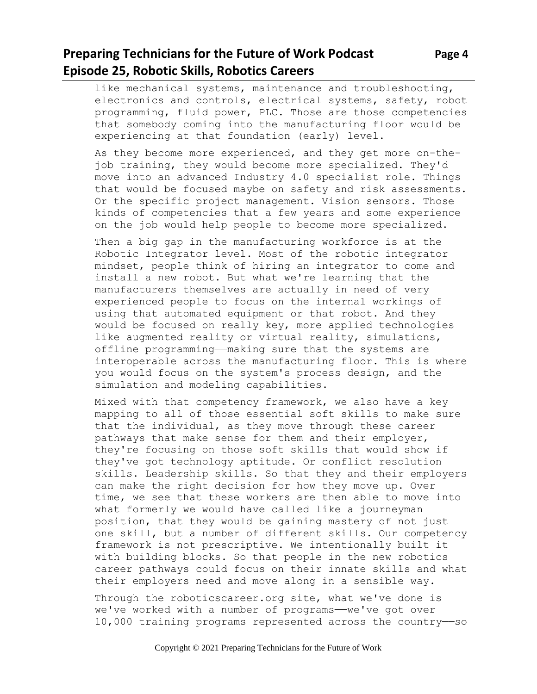like mechanical systems, maintenance and troubleshooting, electronics and controls, electrical systems, safety, robot programming, fluid power, PLC. Those are those competencies that somebody coming into the manufacturing floor would be experiencing at that foundation (early) level.

As they become more experienced, and they get more on-thejob training, they would become more specialized. They'd move into an advanced Industry 4.0 specialist role. Things that would be focused maybe on safety and risk assessments. Or the specific project management. Vision sensors. Those kinds of competencies that a few years and some experience on the job would help people to become more specialized.

Then a big gap in the manufacturing workforce is at the Robotic Integrator level. Most of the robotic integrator mindset, people think of hiring an integrator to come and install a new robot. But what we're learning that the manufacturers themselves are actually in need of very experienced people to focus on the internal workings of using that automated equipment or that robot. And they would be focused on really key, more applied technologies like augmented reality or virtual reality, simulations, offline programming——making sure that the systems are interoperable across the manufacturing floor. This is where you would focus on the system's process design, and the simulation and modeling capabilities.

Mixed with that competency framework, we also have a key mapping to all of those essential soft skills to make sure that the individual, as they move through these career pathways that make sense for them and their employer, they're focusing on those soft skills that would show if they've got technology aptitude. Or conflict resolution skills. Leadership skills. So that they and their employers can make the right decision for how they move up. Over time, we see that these workers are then able to move into what formerly we would have called like a journeyman position, that they would be gaining mastery of not just one skill, but a number of different skills. Our competency framework is not prescriptive. We intentionally built it with building blocks. So that people in the new robotics career pathways could focus on their innate skills and what their employers need and move along in a sensible way.

Through the roboticscareer.org site, what we've done is we've worked with a number of programs——we've got over 10,000 training programs represented across the country——so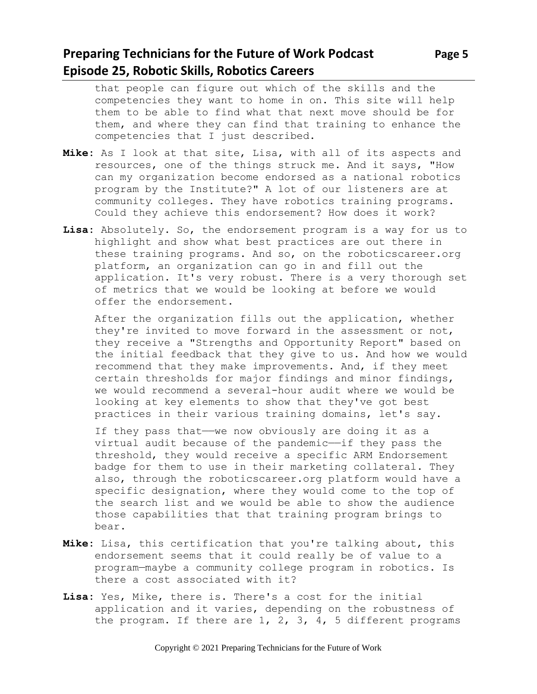# **Preparing Technicians for the Future of Work Podcast Page 5 Episode 25, Robotic Skills, Robotics Careers**

that people can figure out which of the skills and the competencies they want to home in on. This site will help them to be able to find what that next move should be for them, and where they can find that training to enhance the competencies that I just described.

- **Mike:** As I look at that site, Lisa, with all of its aspects and resources, one of the things struck me. And it says, "How can my organization become endorsed as a national robotics program by the Institute?" A lot of our listeners are at community colleges. They have robotics training programs. Could they achieve this endorsement? How does it work?
- **Lisa:** Absolutely. So, the endorsement program is a way for us to highlight and show what best practices are out there in these training programs. And so, on the roboticscareer.org platform, an organization can go in and fill out the application. It's very robust. There is a very thorough set of metrics that we would be looking at before we would offer the endorsement.

After the organization fills out the application, whether they're invited to move forward in the assessment or not, they receive a "Strengths and Opportunity Report" based on the initial feedback that they give to us. And how we would recommend that they make improvements. And, if they meet certain thresholds for major findings and minor findings, we would recommend a several-hour audit where we would be looking at key elements to show that they've got best practices in their various training domains, let's say.

If they pass that—we now obviously are doing it as a virtual audit because of the pandemic--if they pass the threshold, they would receive a specific ARM Endorsement badge for them to use in their marketing collateral. They also, through the roboticscareer.org platform would have a specific designation, where they would come to the top of the search list and we would be able to show the audience those capabilities that that training program brings to bear.

- **Mike:** Lisa, this certification that you're talking about, this endorsement seems that it could really be of value to a program—maybe a community college program in robotics. Is there a cost associated with it?
- **Lisa:** Yes, Mike, there is. There's a cost for the initial application and it varies, depending on the robustness of the program. If there are 1, 2, 3, 4, 5 different programs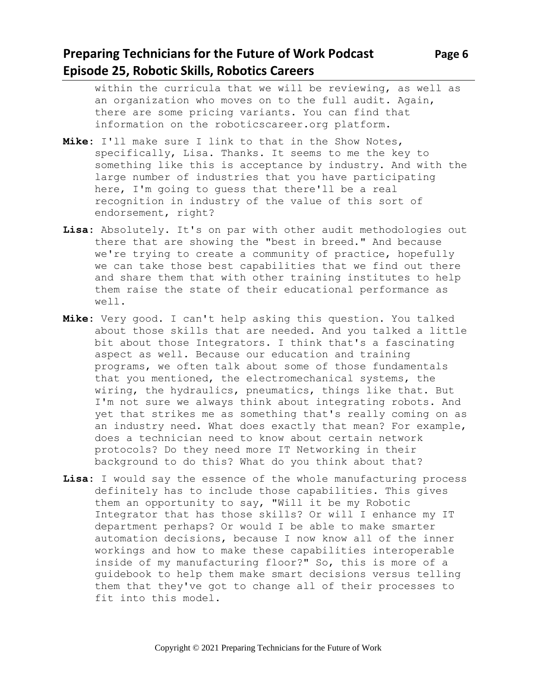# **Preparing Technicians for the Future of Work Podcast** Page 6 **Episode 25, Robotic Skills, Robotics Careers**

within the curricula that we will be reviewing, as well as an organization who moves on to the full audit. Again, there are some pricing variants. You can find that information on the roboticscareer.org platform.

- **Mike:** I'll make sure I link to that in the Show Notes, specifically, Lisa. Thanks. It seems to me the key to something like this is acceptance by industry. And with the large number of industries that you have participating here, I'm going to guess that there'll be a real recognition in industry of the value of this sort of endorsement, right?
- **Lisa:** Absolutely. It's on par with other audit methodologies out there that are showing the "best in breed." And because we're trying to create a community of practice, hopefully we can take those best capabilities that we find out there and share them that with other training institutes to help them raise the state of their educational performance as well.
- **Mike:** Very good. I can't help asking this question. You talked about those skills that are needed. And you talked a little bit about those Integrators. I think that's a fascinating aspect as well. Because our education and training programs, we often talk about some of those fundamentals that you mentioned, the electromechanical systems, the wiring, the hydraulics, pneumatics, things like that. But I'm not sure we always think about integrating robots. And yet that strikes me as something that's really coming on as an industry need. What does exactly that mean? For example, does a technician need to know about certain network protocols? Do they need more IT Networking in their background to do this? What do you think about that?
- **Lisa:** I would say the essence of the whole manufacturing process definitely has to include those capabilities. This gives them an opportunity to say, "Will it be my Robotic Integrator that has those skills? Or will I enhance my IT department perhaps? Or would I be able to make smarter automation decisions, because I now know all of the inner workings and how to make these capabilities interoperable inside of my manufacturing floor?" So, this is more of a guidebook to help them make smart decisions versus telling them that they've got to change all of their processes to fit into this model.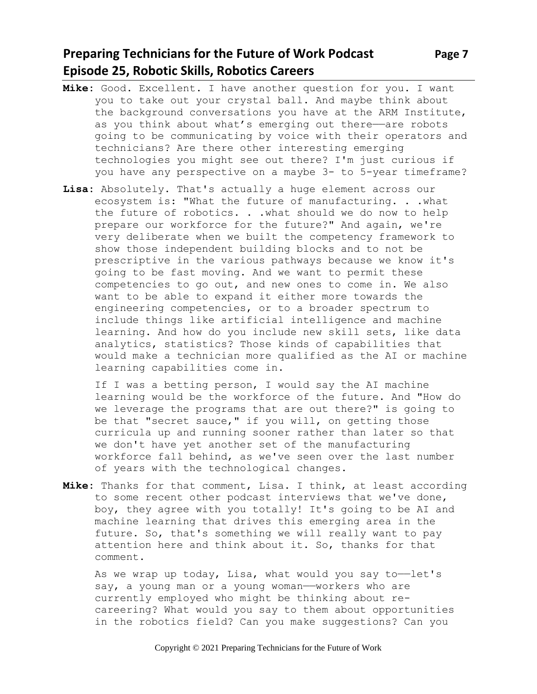# **Preparing Technicians for the Future of Work Podcast Page 7 Episode 25, Robotic Skills, Robotics Careers**

- **Mike:** Good. Excellent. I have another question for you. I want you to take out your crystal ball. And maybe think about the background conversations you have at the ARM Institute, as you think about what's emerging out there——are robots going to be communicating by voice with their operators and technicians? Are there other interesting emerging technologies you might see out there? I'm just curious if you have any perspective on a maybe 3- to 5-year timeframe?
- **Lisa:** Absolutely. That's actually a huge element across our ecosystem is: "What the future of manufacturing. . .what the future of robotics. . .what should we do now to help prepare our workforce for the future?" And again, we're very deliberate when we built the competency framework to show those independent building blocks and to not be prescriptive in the various pathways because we know it's going to be fast moving. And we want to permit these competencies to go out, and new ones to come in. We also want to be able to expand it either more towards the engineering competencies, or to a broader spectrum to include things like artificial intelligence and machine learning. And how do you include new skill sets, like data analytics, statistics? Those kinds of capabilities that would make a technician more qualified as the AI or machine learning capabilities come in.

If I was a betting person, I would say the AI machine learning would be the workforce of the future. And "How do we leverage the programs that are out there?" is going to be that "secret sauce," if you will, on getting those curricula up and running sooner rather than later so that we don't have yet another set of the manufacturing workforce fall behind, as we've seen over the last number of years with the technological changes.

**Mike:** Thanks for that comment, Lisa. I think, at least according to some recent other podcast interviews that we've done, boy, they agree with you totally! It's going to be AI and machine learning that drives this emerging area in the future. So, that's something we will really want to pay attention here and think about it. So, thanks for that comment.

As we wrap up today, Lisa, what would you say to-let's say, a young man or a young woman—workers who are currently employed who might be thinking about recareering? What would you say to them about opportunities in the robotics field? Can you make suggestions? Can you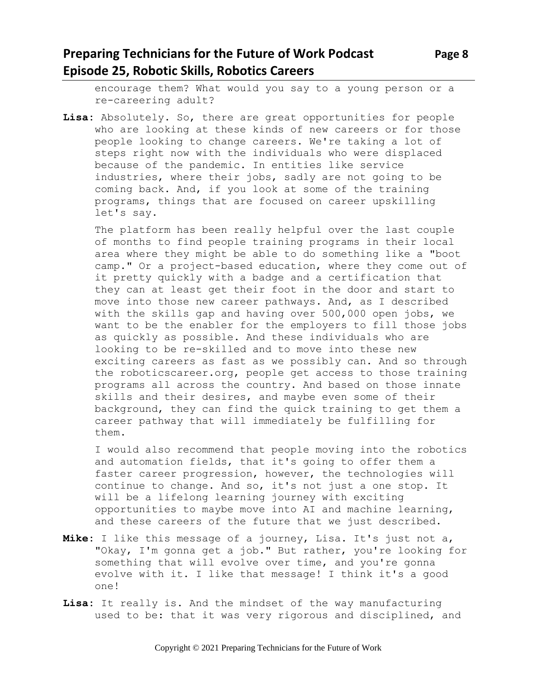### **Preparing Technicians for the Future of Work Podcast** Page 8 **Episode 25, Robotic Skills, Robotics Careers**

encourage them? What would you say to a young person or a re-careering adult?

**Lisa:** Absolutely. So, there are great opportunities for people who are looking at these kinds of new careers or for those people looking to change careers. We're taking a lot of steps right now with the individuals who were displaced because of the pandemic. In entities like service industries, where their jobs, sadly are not going to be coming back. And, if you look at some of the training programs, things that are focused on career upskilling let's say.

The platform has been really helpful over the last couple of months to find people training programs in their local area where they might be able to do something like a "boot camp." Or a project-based education, where they come out of it pretty quickly with a badge and a certification that they can at least get their foot in the door and start to move into those new career pathways. And, as I described with the skills gap and having over 500,000 open jobs, we want to be the enabler for the employers to fill those jobs as quickly as possible. And these individuals who are looking to be re-skilled and to move into these new exciting careers as fast as we possibly can. And so through the roboticscareer.org, people get access to those training programs all across the country. And based on those innate skills and their desires, and maybe even some of their background, they can find the quick training to get them a career pathway that will immediately be fulfilling for them.

I would also recommend that people moving into the robotics and automation fields, that it's going to offer them a faster career progression, however, the technologies will continue to change. And so, it's not just a one stop. It will be a lifelong learning journey with exciting opportunities to maybe move into AI and machine learning, and these careers of the future that we just described.

- **Mike:** I like this message of a journey, Lisa. It's just not a, "Okay, I'm gonna get a job." But rather, you're looking for something that will evolve over time, and you're gonna evolve with it. I like that message! I think it's a good one!
- **Lisa:** It really is. And the mindset of the way manufacturing used to be: that it was very rigorous and disciplined, and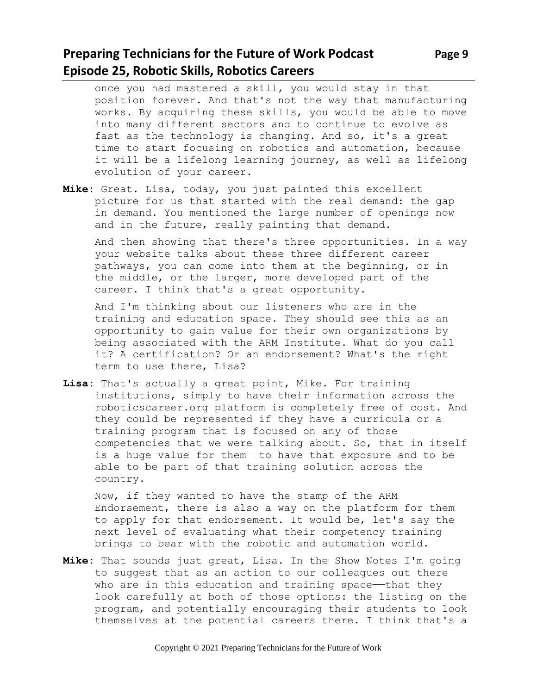# **Preparing Technicians for the Future of Work Podcast** Page 9 **Episode 25, Robotic Skills, Robotics Careers**

once you had mastered a skill, you would stay in that position forever. And that's not the way that manufacturing works. By acquiring these skills, you would be able to move into many different sectors and to continue to evolve as fast as the technology is changing. And so, it's a great time to start focusing on robotics and automation, because it will be a lifelong learning journey, as well as lifelong evolution of your career.

**Mike:** Great. Lisa, today, you just painted this excellent picture for us that started with the real demand: the gap in demand. You mentioned the large number of openings now and in the future, really painting that demand.

And then showing that there's three opportunities. In a way your website talks about these three different career pathways, you can come into them at the beginning, or in the middle, or the larger, more developed part of the career. I think that's a great opportunity.

And I'm thinking about our listeners who are in the training and education space. They should see this as an opportunity to gain value for their own organizations by being associated with the ARM Institute. What do you call it? A certification? Or an endorsement? What's the right term to use there, Lisa?

**Lisa:** That's actually a great point, Mike. For training institutions, simply to have their information across the roboticscareer.org platform is completely free of cost. And they could be represented if they have a curricula or a training program that is focused on any of those competencies that we were talking about. So, that in itself is a huge value for them——to have that exposure and to be able to be part of that training solution across the country.

Now, if they wanted to have the stamp of the ARM Endorsement, there is also a way on the platform for them to apply for that endorsement. It would be, let's say the next level of evaluating what their competency training brings to bear with the robotic and automation world.

**Mike:** That sounds just great, Lisa. In the Show Notes I'm going to suggest that as an action to our colleagues out there who are in this education and training space—that they look carefully at both of those options: the listing on the program, and potentially encouraging their students to look themselves at the potential careers there. I think that's a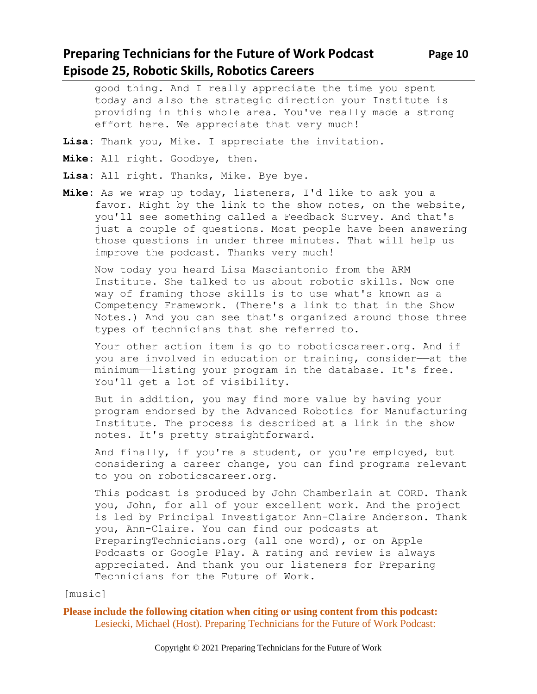### **Preparing Technicians for the Future of Work Podcast Page 10 Episode 25, Robotic Skills, Robotics Careers**

good thing. And I really appreciate the time you spent today and also the strategic direction your Institute is providing in this whole area. You've really made a strong effort here. We appreciate that very much!

- **Lisa:** Thank you, Mike. I appreciate the invitation.
- **Mike:** All right. Goodbye, then.
- **Lisa:** All right. Thanks, Mike. Bye bye.
- **Mike:** As we wrap up today, listeners, I'd like to ask you a favor. Right by the link to the show notes, on the website, you'll see something called a Feedback Survey. And that's just a couple of questions. Most people have been answering those questions in under three minutes. That will help us improve the podcast. Thanks very much!

Now today you heard Lisa Masciantonio from the ARM Institute. She talked to us about robotic skills. Now one way of framing those skills is to use what's known as a Competency Framework. (There's a link to that in the Show Notes.) And you can see that's organized around those three types of technicians that she referred to.

Your other action item is go to roboticscareer.org. And if you are involved in education or training, consider—at the minimum——listing your program in the database. It's free. You'll get a lot of visibility.

But in addition, you may find more value by having your program endorsed by the Advanced Robotics for Manufacturing Institute. The process is described at a link in the show notes. It's pretty straightforward.

And finally, if you're a student, or you're employed, but considering a career change, you can find programs relevant to you on roboticscareer.org.

This podcast is produced by John Chamberlain at CORD. Thank you, John, for all of your excellent work. And the project is led by Principal Investigator Ann-Claire Anderson. Thank you, Ann-Claire. You can find our podcasts at PreparingTechnicians.org (all one word), or on Apple Podcasts or Google Play. A rating and review is always appreciated. And thank you our listeners for Preparing Technicians for the Future of Work.

#### [music]

**Please include the following citation when citing or using content from this podcast:** Lesiecki, Michael (Host). Preparing Technicians for the Future of Work Podcast: